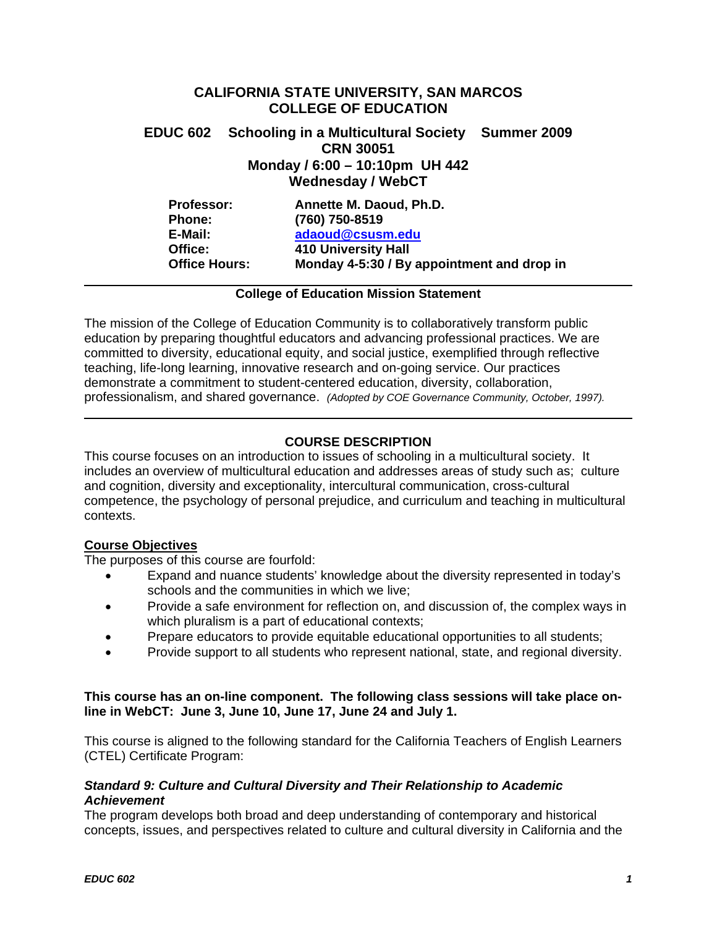# **CALIFORNIA STATE UNIVERSITY, SAN MARCOS COLLEGE OF EDUCATION**

# **EDUC 602 Schooling in a Multicultural Society Summer 2009 CRN 30051 Monday / 6:00 – 10:10pm UH 442 Wednesday / WebCT**

| <b>Professor:</b>    | Annette M. Daoud, Ph.D.                    |
|----------------------|--------------------------------------------|
| <b>Phone:</b>        | (760) 750-8519                             |
| E-Mail:              | adaoud@csusm.edu                           |
| Office:              | <b>410 University Hall</b>                 |
| <b>Office Hours:</b> | Monday 4-5:30 / By appointment and drop in |

# **College of Education Mission Statement**

The mission of the College of Education Community is to collaboratively transform public education by preparing thoughtful educators and advancing professional practices. We are committed to diversity, educational equity, and social justice, exemplified through reflective teaching, life-long learning, innovative research and on-going service. Our practices demonstrate a commitment to student-centered education, diversity, collaboration, professionalism, and shared governance. *(Adopted by COE Governance Community, October, 1997).* 

# **COURSE DESCRIPTION**

This course focuses on an introduction to issues of schooling in a multicultural society. It includes an overview of multicultural education and addresses areas of study such as; culture and cognition, diversity and exceptionality, intercultural communication, cross-cultural competence, the psychology of personal prejudice, and curriculum and teaching in multicultural contexts.

# **Course Objectives**

The purposes of this course are fourfold:

- Expand and nuance students' knowledge about the diversity represented in today's schools and the communities in which we live;
- Provide a safe environment for reflection on, and discussion of, the complex ways in which pluralism is a part of educational contexts;
- Prepare educators to provide equitable educational opportunities to all students;
- Provide support to all students who represent national, state, and regional diversity.

# **This course has an on-line component. The following class sessions will take place online in WebCT: June 3, June 10, June 17, June 24 and July 1.**

This course is aligned to the following standard for the California Teachers of English Learners (CTEL) Certificate Program:

# *Standard 9: Culture and Cultural Diversity and Their Relationship to Academic Achievement*

The program develops both broad and deep understanding of contemporary and historical concepts, issues, and perspectives related to culture and cultural diversity in California and the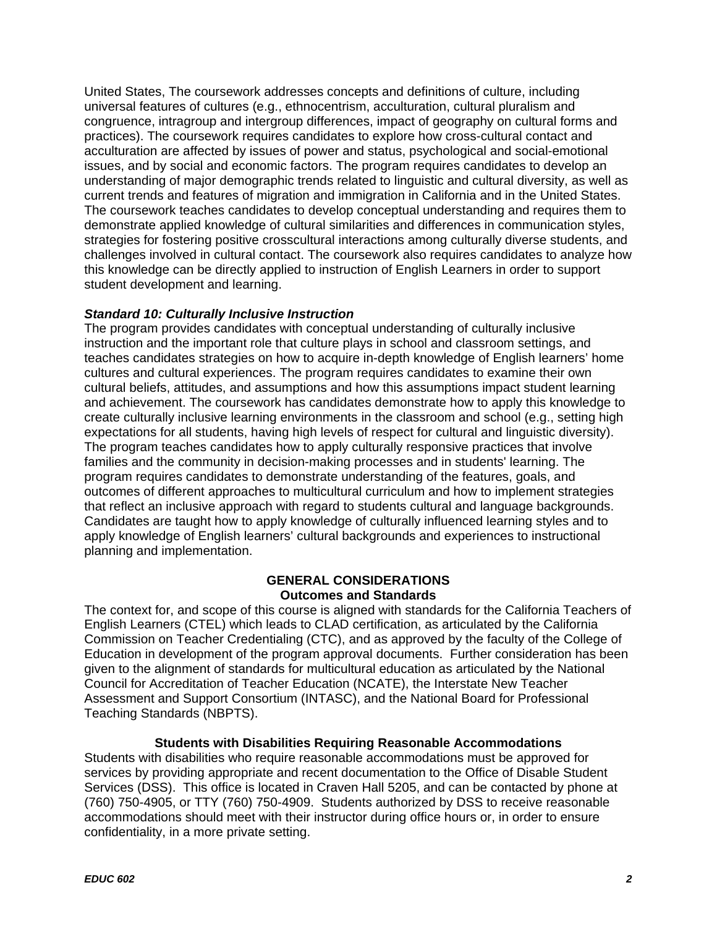United States, The coursework addresses concepts and definitions of culture, including universal features of cultures (e.g., ethnocentrism, acculturation, cultural pluralism and congruence, intragroup and intergroup differences, impact of geography on cultural forms and practices). The coursework requires candidates to explore how cross-cultural contact and acculturation are affected by issues of power and status, psychological and social-emotional issues, and by social and economic factors. The program requires candidates to develop an understanding of major demographic trends related to linguistic and cultural diversity, as well as current trends and features of migration and immigration in California and in the United States. The coursework teaches candidates to develop conceptual understanding and requires them to demonstrate applied knowledge of cultural similarities and differences in communication styles, strategies for fostering positive crosscultural interactions among culturally diverse students, and challenges involved in cultural contact. The coursework also requires candidates to analyze how this knowledge can be directly applied to instruction of English Learners in order to support student development and learning.

# *Standard 10: Culturally Inclusive Instruction*

The program provides candidates with conceptual understanding of culturally inclusive instruction and the important role that culture plays in school and classroom settings, and teaches candidates strategies on how to acquire in-depth knowledge of English learners' home cultures and cultural experiences. The program requires candidates to examine their own cultural beliefs, attitudes, and assumptions and how this assumptions impact student learning and achievement. The coursework has candidates demonstrate how to apply this knowledge to create culturally inclusive learning environments in the classroom and school (e.g., setting high expectations for all students, having high levels of respect for cultural and linguistic diversity). The program teaches candidates how to apply culturally responsive practices that involve families and the community in decision-making processes and in students' learning. The program requires candidates to demonstrate understanding of the features, goals, and outcomes of different approaches to multicultural curriculum and how to implement strategies that reflect an inclusive approach with regard to students cultural and language backgrounds. Candidates are taught how to apply knowledge of culturally influenced learning styles and to apply knowledge of English learners' cultural backgrounds and experiences to instructional planning and implementation.

# **GENERAL CONSIDERATIONS Outcomes and Standards**

The context for, and scope of this course is aligned with standards for the California Teachers of English Learners (CTEL) which leads to CLAD certification, as articulated by the California Commission on Teacher Credentialing (CTC), and as approved by the faculty of the College of Education in development of the program approval documents. Further consideration has been given to the alignment of standards for multicultural education as articulated by the National Council for Accreditation of Teacher Education (NCATE), the Interstate New Teacher Assessment and Support Consortium (INTASC), and the National Board for Professional Teaching Standards (NBPTS).

# **Students with Disabilities Requiring Reasonable Accommodations**

Students with disabilities who require reasonable accommodations must be approved for services by providing appropriate and recent documentation to the Office of Disable Student Services (DSS). This office is located in Craven Hall 5205, and can be contacted by phone at (760) 750-4905, or TTY (760) 750-4909. Students authorized by DSS to receive reasonable accommodations should meet with their instructor during office hours or, in order to ensure confidentiality, in a more private setting.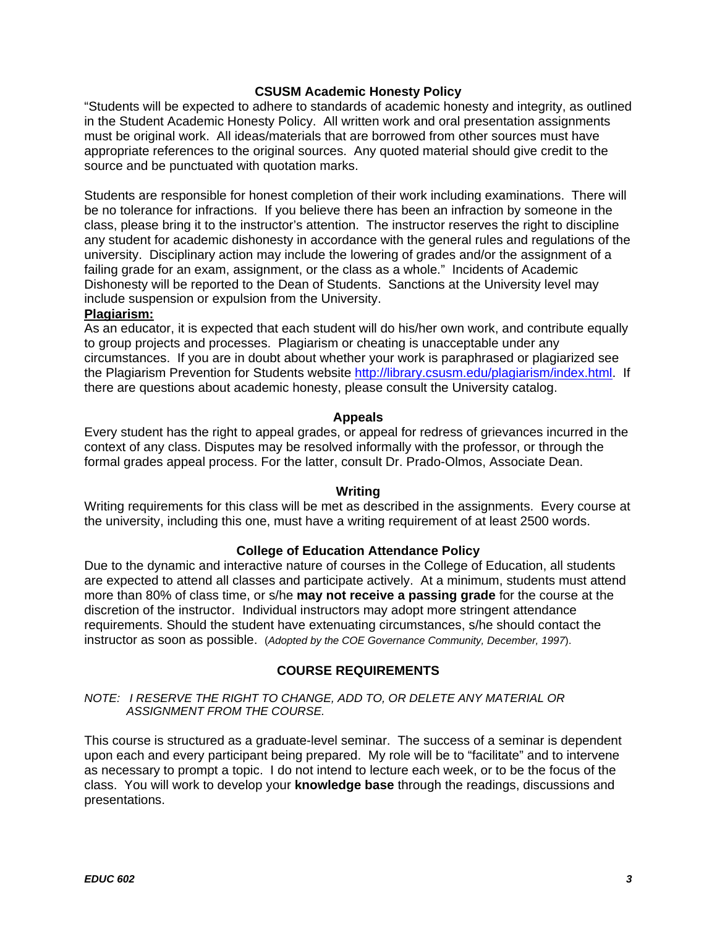# **CSUSM Academic Honesty Policy**

"Students will be expected to adhere to standards of academic honesty and integrity, as outlined in the Student Academic Honesty Policy. All written work and oral presentation assignments must be original work. All ideas/materials that are borrowed from other sources must have appropriate references to the original sources. Any quoted material should give credit to the source and be punctuated with quotation marks.

Students are responsible for honest completion of their work including examinations. There will be no tolerance for infractions. If you believe there has been an infraction by someone in the class, please bring it to the instructor's attention. The instructor reserves the right to discipline any student for academic dishonesty in accordance with the general rules and regulations of the university. Disciplinary action may include the lowering of grades and/or the assignment of a failing grade for an exam, assignment, or the class as a whole." Incidents of Academic Dishonesty will be reported to the Dean of Students. Sanctions at the University level may include suspension or expulsion from the University.

### **Plagiarism:**

As an educator, it is expected that each student will do his/her own work, and contribute equally to group projects and processes. Plagiarism or cheating is unacceptable under any circumstances. If you are in doubt about whether your work is paraphrased or plagiarized see the Plagiarism Prevention for Students website http://library.csusm.edu/plagiarism/index.html. If there are questions about academic honesty, please consult the University catalog.

### **Appeals**

Every student has the right to appeal grades, or appeal for redress of grievances incurred in the context of any class. Disputes may be resolved informally with the professor, or through the formal grades appeal process. For the latter, consult Dr. Prado-Olmos, Associate Dean.

### **Writing**

Writing requirements for this class will be met as described in the assignments. Every course at the university, including this one, must have a writing requirement of at least 2500 words.

### **College of Education Attendance Policy**

Due to the dynamic and interactive nature of courses in the College of Education, all students are expected to attend all classes and participate actively. At a minimum, students must attend more than 80% of class time, or s/he **may not receive a passing grade** for the course at the discretion of the instructor. Individual instructors may adopt more stringent attendance requirements. Should the student have extenuating circumstances, s/he should contact the instructor as soon as possible. (*Adopted by the COE Governance Community, December, 1997*).

### **COURSE REQUIREMENTS**

### *NOTE: I RESERVE THE RIGHT TO CHANGE, ADD TO, OR DELETE ANY MATERIAL OR ASSIGNMENT FROM THE COURSE.*

This course is structured as a graduate-level seminar. The success of a seminar is dependent upon each and every participant being prepared. My role will be to "facilitate" and to intervene as necessary to prompt a topic. I do not intend to lecture each week, or to be the focus of the class. You will work to develop your **knowledge base** through the readings, discussions and presentations.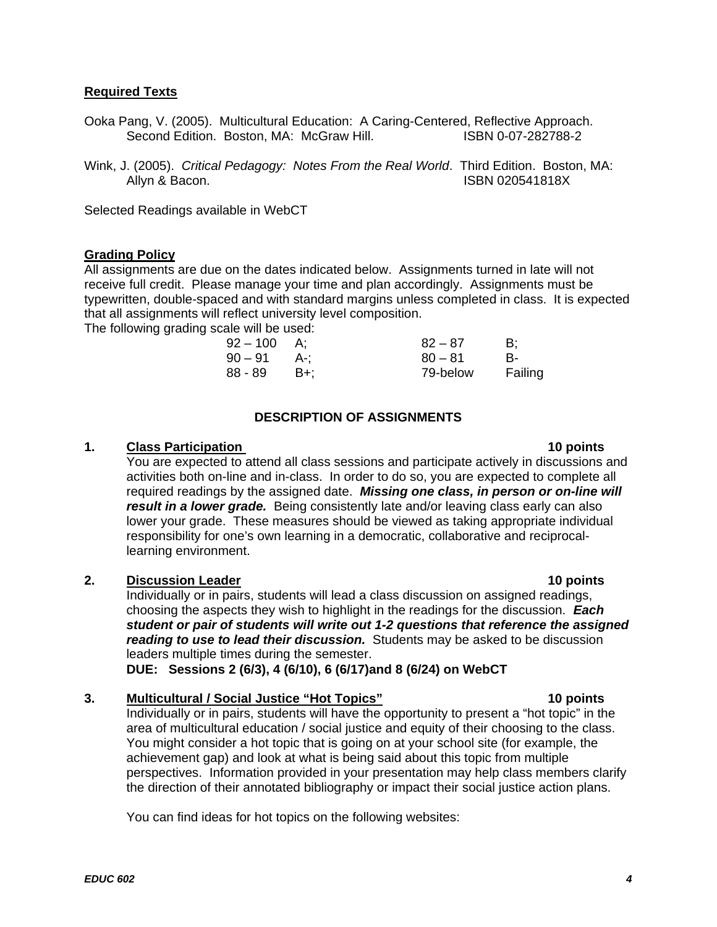# **Required Texts**

- Ooka Pang, V. (2005). Multicultural Education: A Caring-Centered, Reflective Approach. Second Edition. Boston, MA: McGraw Hill.
- Wink, J. (2005). *Critical Pedagogy: Notes From the Real World*. Third Edition. Boston, MA: Allyn & Bacon. **ISBN 020541818X**

Selected Readings available in WebCT

# **Grading Policy**

All assignments are due on the dates indicated below. Assignments turned in late will not receive full credit. Please manage your time and plan accordingly. Assignments must be typewritten, double-spaced and with standard margins unless completed in class. It is expected that all assignments will reflect university level composition.

The following grading scale will be used:

| 92 – 100 | A:      | $82 - 87$ | B:      |
|----------|---------|-----------|---------|
| $90-91$  | - A-:   | $80 - 81$ | B-      |
| 88 - 89  | – B+: ⊹ | 79-below  | Failing |

# **DESCRIPTION OF ASSIGNMENTS**

# **1.** Class Participation

You are expected to attend all class sessions and participate actively in discussions and activities both on-line and in-class. In order to do so, you are expected to complete all required readings by the assigned date. *Missing one class, in person or on-line will result in a lower grade.* Being consistently late and/or leaving class early can also lower your grade. These measures should be viewed as taking appropriate individual responsibility for one's own learning in a democratic, collaborative and reciprocallearning environment.

# **2.** Discussion Leader **10 points 10 points**

Individually or in pairs, students will lead a class discussion on assigned readings, choosing the aspects they wish to highlight in the readings for the discussion. *Each student or pair of students will write out 1-2 questions that reference the assigned reading to use to lead their discussion.* Students may be asked to be discussion leaders multiple times during the semester.

**DUE: Sessions 2 (6/3), 4 (6/10), 6 (6/17)and 8 (6/24) on WebCT** 

**3. Multicultural / Social Justice "Hot Topics" 10 points** 

Individually or in pairs, students will have the opportunity to present a "hot topic" in the area of multicultural education / social justice and equity of their choosing to the class. You might consider a hot topic that is going on at your school site (for example, the achievement gap) and look at what is being said about this topic from multiple perspectives. Information provided in your presentation may help class members clarify the direction of their annotated bibliography or impact their social justice action plans.

You can find ideas for hot topics on the following websites:

# 10 points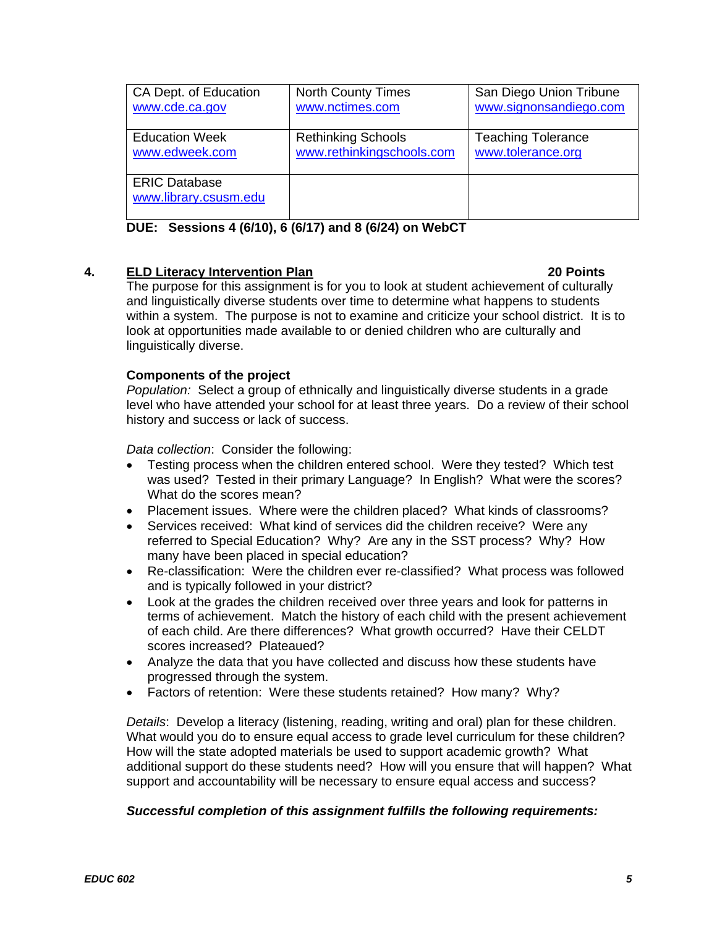| CA Dept. of Education | <b>North County Times</b> | San Diego Union Tribune   |
|-----------------------|---------------------------|---------------------------|
| www.cde.ca.gov        | www.nctimes.com           | www.signonsandiego.com    |
| <b>Education Week</b> | <b>Rethinking Schools</b> | <b>Teaching Tolerance</b> |
|                       |                           |                           |
| www.edweek.com        | www.rethinkingschools.com | www.tolerance.org         |
|                       |                           |                           |
| <b>ERIC Database</b>  |                           |                           |
| www.library.csusm.edu |                           |                           |
|                       |                           |                           |
|                       |                           |                           |

**DUE: Sessions 4 (6/10), 6 (6/17) and 8 (6/24) on WebCT** 

# **4.** ELD Literacy Intervention Plan **1996 1997 120 Points 20 Points**

The purpose for this assignment is for you to look at student achievement of culturally and linguistically diverse students over time to determine what happens to students within a system. The purpose is not to examine and criticize your school district. It is to look at opportunities made available to or denied children who are culturally and linguistically diverse.

# **Components of the project**

 *Population:* Select a group of ethnically and linguistically diverse students in a grade level who have attended your school for at least three years. Do a review of their school history and success or lack of success.

*Data collection*: Consider the following:

- Testing process when the children entered school. Were they tested? Which test was used? Tested in their primary Language? In English? What were the scores? What do the scores mean?
- Placement issues. Where were the children placed? What kinds of classrooms?
- Services received: What kind of services did the children receive? Were any referred to Special Education? Why? Are any in the SST process? Why? How many have been placed in special education?
- Re-classification: Were the children ever re-classified? What process was followed and is typically followed in your district?
- Look at the grades the children received over three years and look for patterns in terms of achievement. Match the history of each child with the present achievement of each child. Are there differences? What growth occurred? Have their CELDT scores increased? Plateaued?
- Analyze the data that you have collected and discuss how these students have progressed through the system.
- Factors of retention: Were these students retained? How many? Why?

What would you do to ensure equal access to grade level curriculum for these children? support and accountability will be necessary to ensure equal access and success? *Details*: Develop a literacy (listening, reading, writing and oral) plan for these children. How will the state adopted materials be used to support academic growth? What additional support do these students need? How will you ensure that will happen? What

# *Successful completion of this assignment fulfills the following requirements:*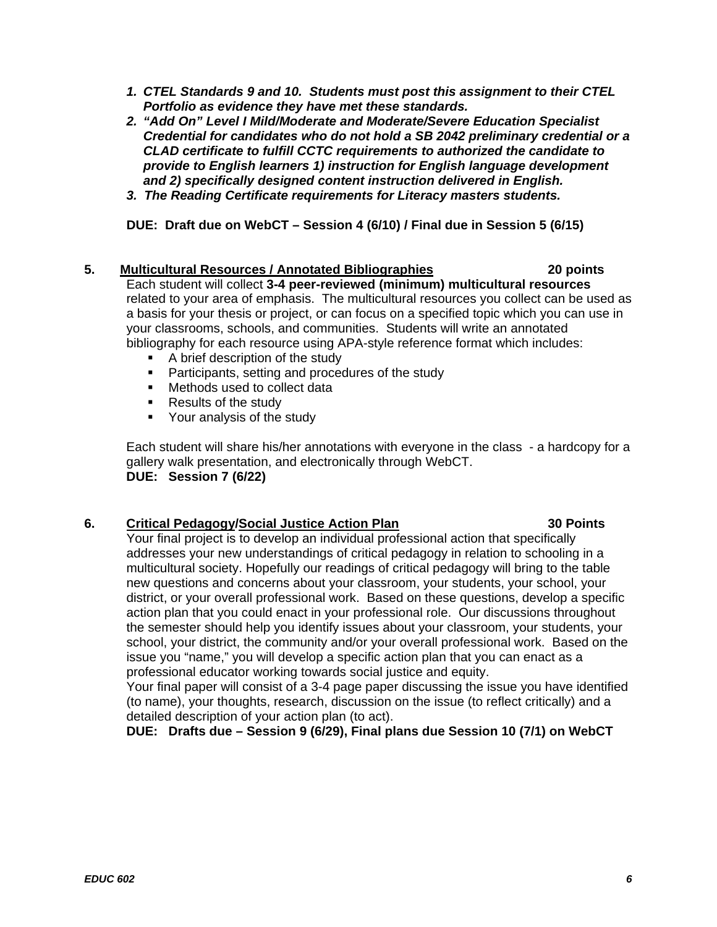- *1. CTEL Standards 9 and 10. Students must post this assignment to their CTEL Portfolio as evidence they have met these standards.*
- *2. "Add On" Level I Mild/Moderate and Moderate/Severe Education Specialist Credential for candidates who do not hold a SB 2042 preliminary credential or a CLAD certificate to fulfill CCTC requirements to authorized the candidate to provide to English learners 1) instruction for English language development and 2) specifically designed content instruction delivered in English.*
- *3. The Reading Certificate requirements for Literacy masters students.*

**DUE: Draft due on WebCT – Session 4 (6/10) / Final due in Session 5 (6/15)** 

# **5. Multicultural Resources / Annotated Bibliographies 20 points**

Each student will collect **3-4 peer-reviewed (minimum) multicultural resources**  related to your area of emphasis. The multicultural resources you collect can be used as a basis for your thesis or project, or can focus on a specified topic which you can use in your classrooms, schools, and communities. Students will write an annotated bibliography for each resource using APA-style reference format which includes:

- A brief description of the study
- **Participants, setting and procedures of the study**
- Methods used to collect data
- Results of the study
- Your analysis of the study

DUE: Session 7 (6/22) **DUE: Session 7 (6/22)**<br>6. Critical Pedagogy/Social Justice Action Plan 30 Points Each student will share his/her annotations with everyone in the class - a hardcopy for a gallery walk presentation, and electronically through WebCT.

Your final project is to develop an individual professional action that specifically addresses your new understandings of critical pedagogy in relation to schooling in a multicultural society. Hopefully our readings of critical pedagogy will bring to the table new questions and concerns about your classroom, your students, your school, your district, or your overall professional work. Based on these questions, develop a specific action plan that you could enact in your professional role. Our discussions throughout the semester should help you identify issues about your classroom, your students, your school, your district, the community and/or your overall professional work. Based on the issue you "name," you will develop a specific action plan that you can enact as a professional educator working towards social justice and equity.

Your final paper will consist of a 3-4 page paper discussing the issue you have identified (to name), your thoughts, research, discussion on the issue (to reflect critically) and a detailed description of your action plan (to act).

# **DUE: Drafts due – Session 9 (6/29), Final plans due Session 10 (7/1) on WebCT**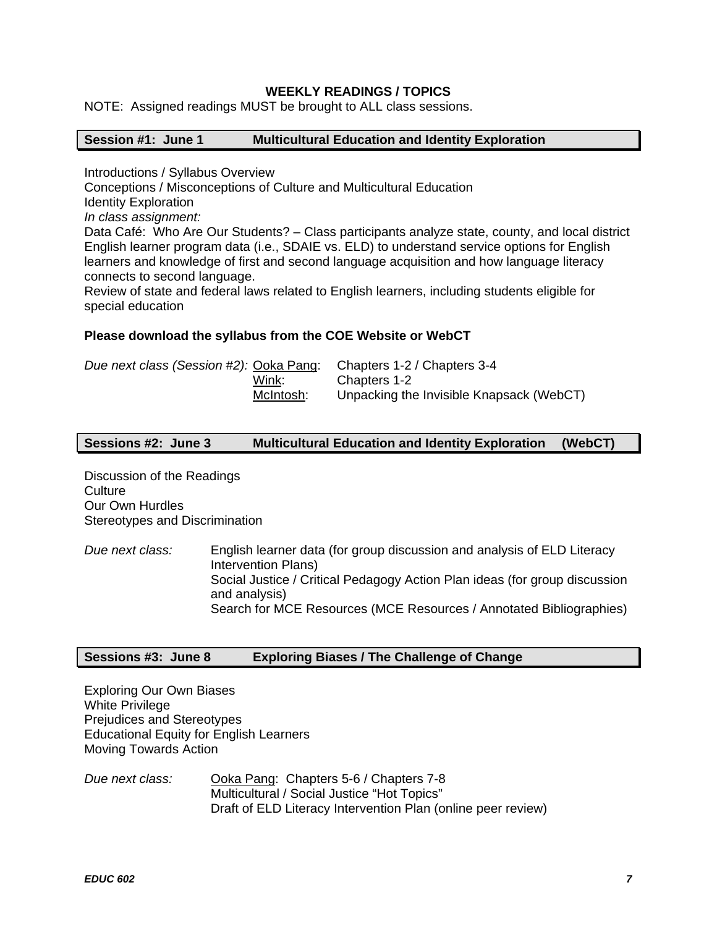# **WEEKLY READINGS / TOPICS**

NOTE: Assigned readings MUST be brought to ALL class sessions.

### **Session #1: June 1 Multicultural Education and Identity Exploration**

Introductions / Syllabus Overview

Conceptions / Misconceptions of Culture and Multicultural Education

Identity Exploration

*In class assignment:* 

Data Café: Who Are Our Students? – Class participants analyze state, county, and local district English learner program data (i.e., SDAIE vs. ELD) to understand service options for English learners and knowledge of first and second language acquisition and how language literacy connects to second language.

Review of state and federal laws related to English learners, including students eligible for special education

### **Please download the syllabus from the COE Website or WebCT**

|           | Due next class (Session #2): Ooka Pang: Chapters 1-2 / Chapters 3-4 |
|-----------|---------------------------------------------------------------------|
| Wink:     | Chapters 1-2                                                        |
| McIntosh: | Unpacking the Invisible Knapsack (WebCT)                            |

### **Sessions #2: June 3 Multicultural Education and Identity Exploration (WebCT)**

Discussion of the Readings **Culture** Our Own Hurdles Stereotypes and Discrimination

*Due next class:* English learner data (for group discussion and analysis of ELD Literacy Intervention Plans) Social Justice / Critical Pedagogy Action Plan ideas (for group discussion and analysis) Search for MCE Resources (MCE Resources / Annotated Bibliographies)

# **Sessions #3: June 8 Exploring Biases / The Challenge of Change**

Exploring Our Own Biases White Privilege Prejudices and Stereotypes Educational Equity for English Learners Moving Towards Action

*Due next class:* Ooka Pang: Chapters 5-6 / Chapters 7-8 Multicultural / Social Justice "Hot Topics" Draft of ELD Literacy Intervention Plan (online peer review)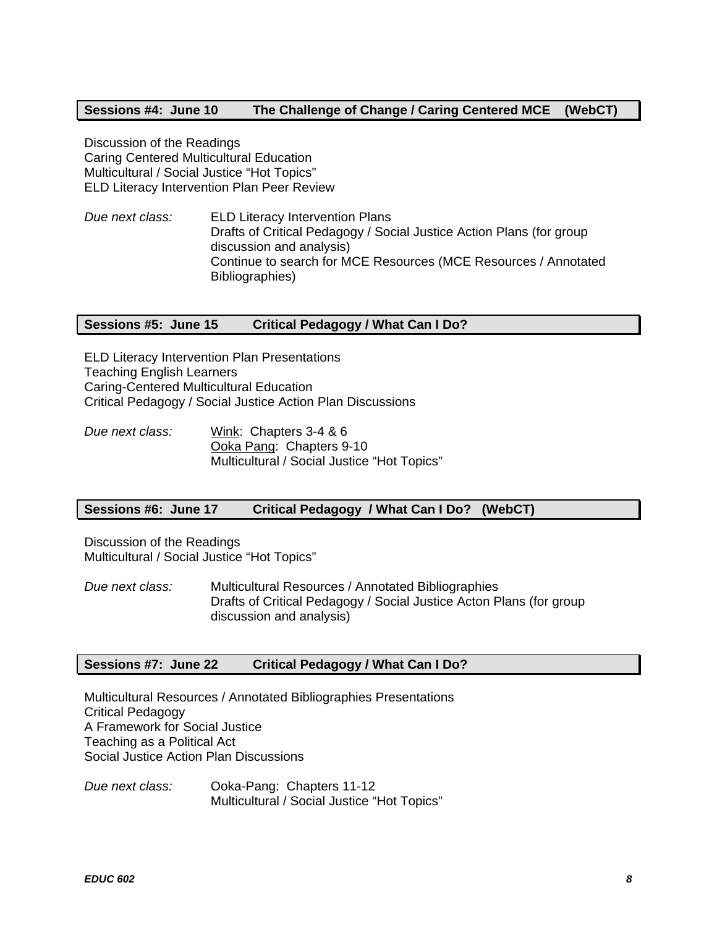# **Sessions #4: June 10 The Challenge of Change / Caring Centered MCE (WebCT)**

Discussion of the Readings Caring Centered Multicultural Education Multicultural / Social Justice "Hot Topics" ELD Literacy Intervention Plan Peer Review

*Due next class:* ELD Literacy Intervention Plans Drafts of Critical Pedagogy / Social Justice Action Plans (for group discussion and analysis) Continue to search for MCE Resources (MCE Resources / Annotated Bibliographies)

### **Sessions #5: June 15 Critical Pedagogy / What Can I Do?**

ELD Literacy Intervention Plan Presentations Teaching English Learners Caring-Centered Multicultural Education Critical Pedagogy / Social Justice Action Plan Discussions

*Due next class:* Wink: Chapters 3-4 & 6 Ooka Pang: Chapters 9-10 Multicultural / Social Justice "Hot Topics"

### **Sessions #6: June 17 Critical Pedagogy / What Can I Do? (WebCT)**

Discussion of the Readings Multicultural / Social Justice "Hot Topics"

*Due next class:* Multicultural Resources / Annotated Bibliographies Drafts of Critical Pedagogy / Social Justice Acton Plans (for group discussion and analysis)

### **Sessions #7: June 22 Critical Pedagogy / What Can I Do?**

Multicultural Resources / Annotated Bibliographies Presentations Critical Pedagogy A Framework for Social Justice Teaching as a Political Act Social Justice Action Plan Discussions

*Due next class:* Ooka-Pang: Chapters 11-12 Multicultural / Social Justice "Hot Topics"